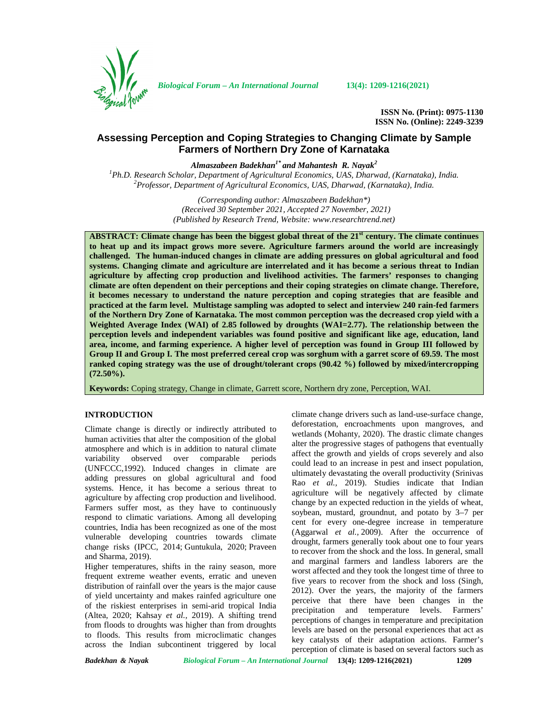

*Biological Forum – An International Journal* **13(4): 1209-1216(2021)**

**ISSN No. (Print): 0975-1130 ISSN No. (Online): 2249-3239**

# **Assessing Perception and Coping Strategies to Changing Climate by Sample Farmers of Northern Dry Zone of Karnataka**

*Almaszabeen Badekhan1\* and Mahantesh R. Nayak<sup>2</sup>*

*<sup>1</sup>Ph.D. Research Scholar, Department of Agricultural Economics, UAS, Dharwad, (Karnataka), India. <sup>2</sup>Professor, Department of Agricultural Economics, UAS, Dharwad, (Karnataka), India.*

*(Corresponding author: Almaszabeen Badekhan\*) (Received 30 September 2021, Accepted 27 November, 2021) (Published by Research Trend, Website: [www.researchtrend.net\)](www.researchtrend.net)*

**ABSTRACT: Climate change has been the biggest global threat of the 21st century. The climate continues to heat up and its impact grows more severe. Agriculture farmers around the world are increasingly challenged. The human-induced changes in climate are adding pressures on global agricultural and food systems. Changing climate and agriculture are interrelated and it has become a serious threat to Indian agriculture by affecting crop production and livelihood activities. The farmers' responses to changing climate are often dependent on their perceptions and their coping strategies on climate change. Therefore, it becomes necessary to understand the nature perception and coping strategies that are feasible and practiced at the farm level. Multistage sampling was adopted to select and interview 240 rain-fed farmers of the Northern Dry Zone of Karnataka. The most common perception was the decreased crop yield with a Weighted Average Index (WAI) of 2.85 followed by droughts (WAI=2.77). The relationship between the perception levels and independent variables was found positive and significant like age, education, land area, income, and farming experience. A higher level of perception was found in Group III followed by Group II and Group I. The most preferred cereal crop was sorghum with a garret score of 69.59. The most ranked coping strategy was the use of drought/tolerant crops (90.42 %) followed by mixed/intercropping (72.50%).**

**Keywords:** Coping strategy, Change in climate, Garrett score, Northern dry zone, Perception, WAI.

## **INTRODUCTION**

Climate change is directly or indirectly attributed to human activities that alter the composition of the global atmosphere and which is in addition to natural climate variability observed over comparable periods (UNFCCC,1992). Induced changes in climate are adding pressures on global agricultural and food systems. Hence, it has become a serious threat to agriculture by affecting crop production and livelihood. Farmers suffer most, as they have to continuously respond to climatic variations. Among all developing countries, India has been recognized as one of the most vulnerable developing countries towards climate change risks (IPCC, 2014; Guntukula, 2020; Praveen and Sharma, 2019).

Higher temperatures, shifts in the rainy season, more frequent extreme weather events, erratic and uneven distribution of rainfall over the years is the major cause of yield uncertainty and makes rainfed agriculture one of the riskiest enterprises in semi-arid tropical India (Altea, 2020; Kahsay *et al.,* 2019). A shifting trend from floods to droughts was higher than from droughts to floods. This results from microclimatic changes across the Indian subcontinent triggered by local climate change drivers such as land-use-surface change, deforestation, encroachments upon mangroves, and wetlands (Mohanty, 2020). The drastic climate changes alter the progressive stages of pathogens that eventually affect the growth and yields of crops severely and also could lead to an increase in pest and insect population, ultimately devastating the overall productivity (Srinivas Rao *et al.,* 2019). Studies indicate that Indian agriculture will be negatively affected by climate change by an expected reduction in the yields of wheat, soybean, mustard, groundnut, and potato by 3–7 per cent for every one-degree increase in temperature (Aggarwal *et al.,* 2009). After the occurrence of drought, farmers generally took about one to four years to recover from the shock and the loss. In general, small and marginal farmers and landless laborers are the worst affected and they took the longest time of three to five years to recover from the shock and loss (Singh, 2012). Over the years, the majority of the farmers perceive that there have been changes in the precipitation and temperature levels. Farmers' perceptions of changes in temperature and precipitation levels are based on the personal experiences that act as key catalysts of their adaptation actions. Farmer's perception of climate is based on several factors such as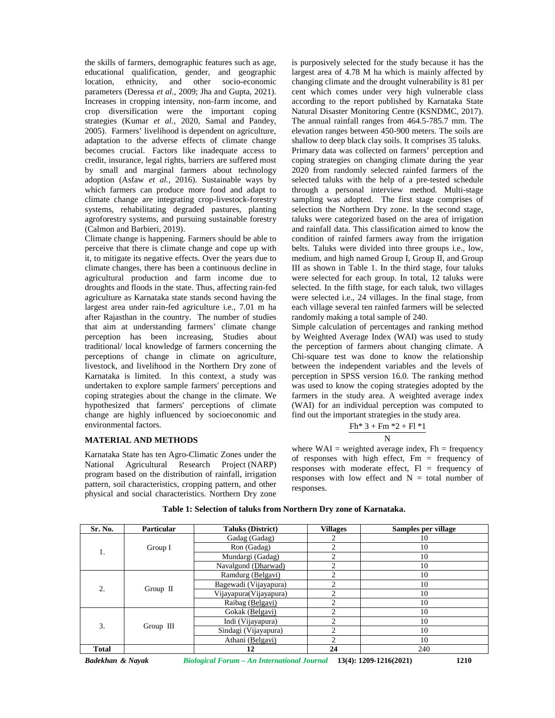the skills of farmers, demographic features such as age, educational qualification, gender, and geographic location, ethnicity, and other socio-economic parameters (Deressa *et al.,* 2009; Jha and Gupta, 2021). Increases in cropping intensity, non-farm income, and crop diversification were the important coping strategies (Kumar *et al.,* 2020, Samal and Pandey, 2005). Farmers' livelihood is dependent on agriculture, adaptation to the adverse effects of climate change becomes crucial. Factors like inadequate access to credit, insurance, legal rights, barriers are suffered most by small and marginal farmers about technology adoption (Asfaw *et al.,* 2016). Sustainable ways by which farmers can produce more food and adapt to climate change are integrating crop-livestock-forestry systems, rehabilitating degraded pastures, planting agroforestry systems, and pursuing sustainable forestry (Calmon and Barbieri, 2019).

Climate change is happening. Farmers should be able to perceive that there is climate change and cope up with it, to mitigate its negative effects. Over the years due to climate changes, there has been a continuous decline in agricultural production and farm income due to droughts and floods in the state. Thus, affecting rain-fed agriculture as Karnataka state stands second having the largest area under rain-fed agriculture i.e., 7.01 m ha after Rajasthan in the country. The number of studies that aim at understanding farmers' climate change perception has been increasing, Studies about traditional/ local knowledge of farmers concerning the perceptions of change in climate on agriculture, livestock, and livelihood in the Northern Dry zone of Karnataka is limited. In this context, a study was undertaken to explore sample farmers' perceptions and coping strategies about the change in the climate. We hypothesized that farmers' perceptions of climate change are highly influenced by socioeconomic and environmental factors.

### **MATERIAL AND METHODS**

Karnataka State has ten Agro-Climatic Zones under the National Agricultural Research Project (NARP) program based on the distribution of rainfall, irrigation pattern, soil characteristics, cropping pattern, and other physical and social characteristics. Northern Dry zone is purposively selected for the study because it has the largest area of 4.78 M ha which is mainly affected by changing climate and the drought vulnerability is 81 per cent which comes under very high vulnerable class according to the report published by Karnataka State Natural Disaster Monitoring Centre (KSNDMC, 2017). The annual rainfall ranges from 464.5-785.7 mm. The elevation ranges between 450-900 meters. The soils are shallow to deep black clay soils. It comprises 35 taluks. Primary data was collected on farmers' perception and coping strategies on changing climate during the year 2020 from randomly selected rainfed farmers of the selected taluks with the help of a pre-tested schedule through a personal interview method. Multi-stage sampling was adopted. The first stage comprises of selection the Northern Dry zone. In the second stage, taluks were categorized based on the area of irrigation and rainfall data. This classification aimed to know the condition of rainfed farmers away from the irrigation belts. Taluks were divided into three groups i.e., low, medium, and high named Group I, Group II, and Group III as shown in Table 1. In the third stage, four taluks were selected for each group. In total, 12 taluks were selected. In the fifth stage, for each taluk, two villages were selected i.e., 24 villages. In the final stage, from each village several ten rainfed farmers will be selected randomly making a total sample of 240.

Simple calculation of percentages and ranking method by Weighted Average Index (WAI) was used to study the perception of farmers about changing climate. A Chi-square test was done to know the relationship between the independent variables and the levels of perception in SPSS version 16.0. The ranking method was used to know the coping strategies adopted by the farmers in the study area. A weighted average index (WAI) for an individual perception was computed to find out the important strategies in the study area.

$$
\frac{Fh^*\ 3 + Fm\ ^*2 + Fl\ ^*1}{N}
$$

where  $WAI = weighted average index, Fh = frequency$ of responses with high effect,  $Fm = \text{frequency of}$ responses with moderate effect,  $FI = frequency of$ responses with low effect and  $N =$  total number of responses.

| Sr. No.      | <b>Particular</b> | <b>Taluks (District)</b> | <b>Villages</b>             | Samples per village |
|--------------|-------------------|--------------------------|-----------------------------|---------------------|
|              |                   | Gadag (Gadag)            | 2                           | 10                  |
| 1.           | Group I           | Ron (Gadag)              | $\mathfrak{D}$              | 10                  |
|              |                   | Mundargi (Gadag)         | $\overline{2}$              | 10                  |
|              |                   | Navalgund (Dharwad)      | $\mathfrak{D}$              | 10                  |
|              |                   | Ramdurg (Belgavi)        | 2                           | 10                  |
| 2.           | Group II          | Bagewadi (Vijayapura)    | ↑                           | 10                  |
|              |                   | Vijayapura(Vijayapura)   | $\mathfrak{D}$              | 10                  |
|              |                   | Raibag (Belgavi)         | ↑                           | 10                  |
|              |                   | Gokak (Belgavi)          | $\mathfrak{D}$              | 10                  |
| 3.           |                   | Indi (Vijayapura)        | $\mathfrak{D}$              | 10                  |
|              | Group III         | Sindagi (Vijayapura)     | ↑                           | 10                  |
|              |                   | Athani (Belgavi)         | $\mathcal{D}_{\mathcal{L}}$ | 10                  |
| <b>Total</b> |                   | 12                       | 24                          | 240                 |

## **Table 1: Selection of taluks from Northern Dry zone of Karnataka.**

*Badekhan & Nayak Biological Forum – An International Journal* **13(4): 1209-1216(2021) 1210**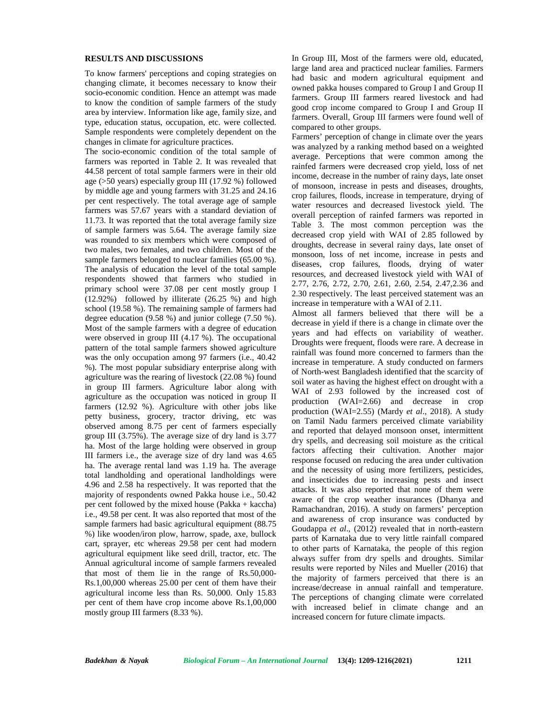#### **RESULTS AND DISCUSSIONS**

To know farmers' perceptions and coping strategies on changing climate, it becomes necessary to know their socio-economic condition. Hence an attempt was made to know the condition of sample farmers of the study area by interview. Information like age, family size, and type, education status, occupation, etc. were collected. Sample respondents were completely dependent on the changes in climate for agriculture practices.

The socio-economic condition of the total sample of farmers was reported in Table 2. It was revealed that 44.58 percent of total sample farmers were in their old age (>50 years) especially group III (17.92 %) followed by middle age and young farmers with 31.25 and 24.16 per cent respectively. The total average age of sample farmers was 57.67 years with a standard deviation of 11.73. It was reported that the total average family size of sample farmers was 5.64. The average family size was rounded to six members which were composed of two males, two females, and two children. Most of the sample farmers belonged to nuclear families (65.00 %). The analysis of education the level of the total sample respondents showed that farmers who studied in primary school were 37.08 per cent mostly group I (12.92%) followed by illiterate (26.25 %) and high school (19.58 %). The remaining sample of farmers had degree education (9.58 %) and junior college (7.50 %). Most of the sample farmers with a degree of education were observed in group III (4.17 %). The occupational pattern of the total sample farmers showed agriculture was the only occupation among 97 farmers (i.e., 40.42 %). The most popular subsidiary enterprise along with agriculture was the rearing of livestock (22.08 %) found in group III farmers. Agriculture labor along with agriculture as the occupation was noticed in group II farmers (12.92 %). Agriculture with other jobs like petty business, grocery, tractor driving, etc was observed among 8.75 per cent of farmers especially group III (3.75%). The average size of dry land is 3.77 ha. Most of the large holding were observed in group III farmers i.e., the average size of dry land was 4.65 ha. The average rental land was 1.19 ha. The average total landholding and operational landholdings were 4.96 and 2.58 ha respectively. It was reported that the majority of respondents owned Pakka house i.e., 50.42 per cent followed by the mixed house (Pakka + kaccha) i.e., 49.58 per cent. It was also reported that most of the sample farmers had basic agricultural equipment (88.75) %) like wooden/iron plow, harrow, spade, axe, bullock cart, sprayer, etc whereas 29.58 per cent had modern agricultural equipment like seed drill, tractor, etc. The Annual agricultural income of sample farmers revealed that most of them lie in the range of Rs.50,000- Rs.1,00,000 whereas 25.00 per cent of them have their agricultural income less than Rs. 50,000. Only 15.83 per cent of them have crop income above Rs.1,00,000 mostly group III farmers (8.33 %).

In Group III, Most of the farmers were old, educated, large land area and practiced nuclear families. Farmers had basic and modern agricultural equipment and owned pakka houses compared to Group I and Group II farmers. Group III farmers reared livestock and had good crop income compared to Group I and Group II farmers. Overall, Group III farmers were found well of compared to other groups.

Farmers' perception of change in climate over the years was analyzed by a ranking method based on a weighted average. Perceptions that were common among the rainfed farmers were decreased crop yield, loss of net income, decrease in the number of rainy days, late onset of monsoon, increase in pests and diseases, droughts, crop failures, floods, increase in temperature, drying of water resources and decreased livestock yield. The overall perception of rainfed farmers was reported in Table 3. The most common perception was the decreased crop yield with WAI of 2.85 followed by droughts, decrease in several rainy days, late onset of monsoon, loss of net income, increase in pests and diseases, crop failures, floods, drying of water resources, and decreased livestock yield with WAI of 2.77, 2.76, 2.72, 2.70, 2.61, 2.60, 2.54, 2.47,2.36 and 2.30 respectively. The least perceived statement was an increase in temperature with a WAI of 2.11.

Almost all farmers believed that there will be a decrease in yield if there is a change in climate over the years and had effects on variability of weather. Droughts were frequent, floods were rare. A decrease in rainfall was found more concerned to farmers than the increase in temperature. A study conducted on farmers of North-west Bangladesh identified that the scarcity of soil water as having the highest effect on drought with a WAI of 2.93 followed by the increased cost of production (WAI=2.66) and decrease in crop production (WAI=2.55) (Mardy *et al*., 2018). A study on Tamil Nadu farmers perceived climate variability and reported that delayed monsoon onset, intermittent dry spells, and decreasing soil moisture as the critical factors affecting their cultivation. Another major response focused on reducing the area under cultivation and the necessity of using more fertilizers, pesticides, and insecticides due to increasing pests and insect attacks. It was also reported that none of them were aware of the crop weather insurances (Dhanya and Ramachandran, 2016). A study on farmers' perception and awareness of crop insurance was conducted by Goudappa *et al*., (2012) revealed that in north-eastern parts of Karnataka due to very little rainfall compared to other parts of Karnataka, the people of this region always suffer from dry spells and droughts. Similar results were reported by Niles and Mueller (2016) that the majority of farmers perceived that there is an increase/decrease in annual rainfall and temperature. The perceptions of changing climate were correlated with increased belief in climate change and an increased concern for future climate impacts.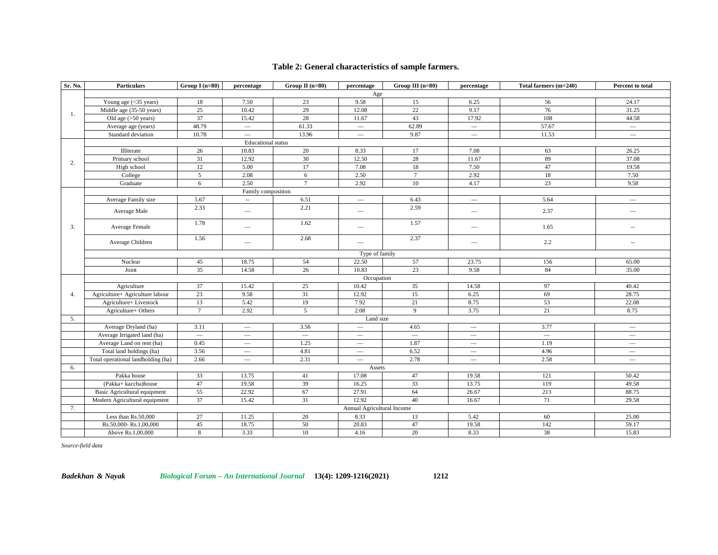## **Table 2: General characteristics of sample farmers.**

| Sr. No. | <b>Particulars</b>                 | Group $I(n=80)$ | percentage                      | Group $II(n=80)$ | percentage                      | Group III $(n=80)$       | percentage                      | Total farmers (m=240)    | Percent to total                |
|---------|------------------------------------|-----------------|---------------------------------|------------------|---------------------------------|--------------------------|---------------------------------|--------------------------|---------------------------------|
|         |                                    |                 |                                 |                  | Age                             |                          |                                 |                          |                                 |
|         | Young age (<35 years)              | 18              | 7.50                            | 23               | 9.58                            | 15                       | 6.25                            | 56                       | 24.17                           |
|         | Middle age (35-50 years)           | 25              | 10.42                           | 29               | 12.08                           | 22                       | 9.17                            | 76                       | 31.25                           |
| -1.     | Old age $(>50$ years)              | 37              | 15.42                           | 28               | 11.67                           | 43                       | 17.92                           | 108                      | 44.58                           |
|         | Average age (years)                | 48.79           |                                 | 61.33            | $\overline{\phantom{0}}$        | 62.89                    |                                 | 57.67                    | $\qquad \qquad -$               |
|         | Standard deviation                 | 10.78           | $\overline{\phantom{0}}$        | 13.96            | $\overline{\phantom{m}}$        | 9.87                     | $\overline{\phantom{m}}$        | 11.53                    | $\overline{\phantom{m}}$        |
|         |                                    |                 | <b>Educational</b> status       |                  |                                 |                          |                                 |                          |                                 |
|         | Illiterate                         | 26              | 10.83                           | 20               | 8.33                            | 17                       | 7.08                            | 63                       | 26.25                           |
| 2.      | Primary school                     | 31              | 12.92                           | 30               | 12.50                           | 28                       | 11.67                           | 89                       | 37.08                           |
|         | High school                        | 12              | 5.00                            | 17               | 7.08                            | 18                       | 7.50                            | 47                       | 19.58                           |
|         | College                            | 5               | 2.08                            | 6                | 2.50                            | $7\phantom{.0}$          | 2.92                            | 18                       | 7.50                            |
|         | Graduate                           | 6               | 2.50                            | $7\overline{ }$  | 2.92                            | 10                       | 4.17                            | 23                       | 9.58                            |
|         |                                    |                 | Family composition              |                  |                                 |                          |                                 |                          |                                 |
|         | Average Family size                | 5.67            | $\sim$                          | 6.51             | $\overline{\phantom{0}}$        | 6.43                     | $\overline{\phantom{m}}$        | 5.64                     | $\overbrace{\phantom{12333}}$   |
|         | Average Male                       | 2.33            |                                 | 2.21             | $\overbrace{\phantom{12333}}$   | 2.59                     | $\hspace{0.1mm}-\hspace{0.1mm}$ | 2.37                     | $\overbrace{\phantom{12333}}$   |
| 3.      | Average Female                     | 1.78            | $\overbrace{\qquad \qquad }^{}$ | 1.62             | $\overbrace{\qquad \qquad }^{}$ | 1.57                     | $\hspace{0.1mm}-\hspace{0.1mm}$ | 1.65                     | $\overline{\phantom{a}}$        |
|         | Average Children                   | 1.56            | $\overline{\phantom{0}}$        | 2.68             |                                 | 2.37                     |                                 | 2.2                      | $\overline{\phantom{a}}$        |
|         |                                    |                 |                                 |                  | Type of family                  |                          |                                 |                          |                                 |
|         | Nuclear                            | 45              | 18.75                           | 54               | 22.50                           | 57                       | 23.75                           | 156                      | 65.00                           |
|         | Joint                              | 35              | 14.58                           | 26               | 10.83                           | 23                       | 9.58                            | 84                       | 35.00                           |
|         |                                    |                 |                                 |                  | Occupation                      |                          |                                 |                          |                                 |
|         | Agriculture                        | 37              | 15.42                           | 25               | 10.42                           | 35                       | 14.58                           | 97                       | 40.42                           |
| 4.      | Agriculture+ Agriculture labour    | 23              | 9.58                            | 31               | 12.92                           | 15                       | 6.25                            | 69                       | 28.75                           |
|         | Agriculture+ Livestock             | 13              | 5.42                            | 19               | 7.92                            | 21                       | 8.75                            | 53                       | 22.08                           |
|         | Agriculture+ Others                | $7\phantom{.0}$ | 2.92                            | 5                | 2.08                            | 9                        | 3.75                            | 21                       | 8.75                            |
| 5.      |                                    |                 |                                 |                  | Land size                       |                          |                                 |                          |                                 |
|         | Average Dryland (ha)               | 3.11            |                                 | 3.56             |                                 | 4.65                     | $\overline{\phantom{0}}$        | 3.77                     | $\overline{\phantom{m}}$        |
|         | Average Irrigated land (ha)        | $\equiv$        |                                 | $\equiv$         |                                 | $\overline{\phantom{0}}$ | $\overline{\phantom{0}}$        | $\overline{\phantom{0}}$ | $\overline{\phantom{0}}$        |
|         | Average Land on rent (ha)          | 0.45            |                                 | 1.25             | $\overline{\phantom{m}}$        | 1.87                     |                                 | 1.19                     | $\overline{\phantom{m}}$        |
|         | Total land holdings (ha)           | 3.56            | $\overline{\phantom{m}}$        | 4.81             | $\hspace{0.1mm}-\hspace{0.1mm}$ | 6.52                     | $\hspace{0.1mm}-\hspace{0.1mm}$ | 4.96                     | $\hspace{0.1mm}-\hspace{0.1mm}$ |
|         | Total operational landholding (ha) | 2.66            |                                 | 2.31             |                                 | 2.78                     |                                 | 2.58                     | $\overline{\phantom{m}}$        |
| 6.      |                                    |                 |                                 |                  | Assets                          |                          |                                 |                          |                                 |
|         | Pakka house                        | 33              | 13.75                           | 41               | 17.08                           | 47                       | 19.58                           | 121                      | 50.42                           |
|         | (Pakka+ kaccha)house               | 47              | 19.58                           | 39               | 16.25                           | 33                       | 13.75                           | 119                      | 49.58                           |
|         | Basic Agricultural equipment       | 55              | 22.92                           | 67               | 27.91                           | 64                       | 26.67                           | 213                      | 88.75                           |
|         | Modern Agricultural equipment      | 37              | 15.42                           | 31               | 12.92                           | 40                       | 16.67                           | 71                       | 29.58                           |
| 7.      |                                    |                 |                                 |                  | Annual Agricultural Income      |                          |                                 |                          |                                 |
|         | Less than Rs.50,000                | 27              | 11.25                           | 20               | 8.33                            | 13                       | 5.42                            | 60                       | 25.00                           |
|         | Rs.50,000-Rs.1,00,000              | 45              | 18.75                           | 50               | 20.83                           | 47                       | 19.58                           | 142                      | 59.17                           |
|         | Above Rs.1,00,000                  | $8\,$           | 3.33                            | 10               | 4.16                            | 20                       | 8.33                            | 38                       | 15.83                           |

*Source-field data*

*Badekhan & Nayak Biological Forum – An International Journal* **13(4): 1209-1216(2021) 1212**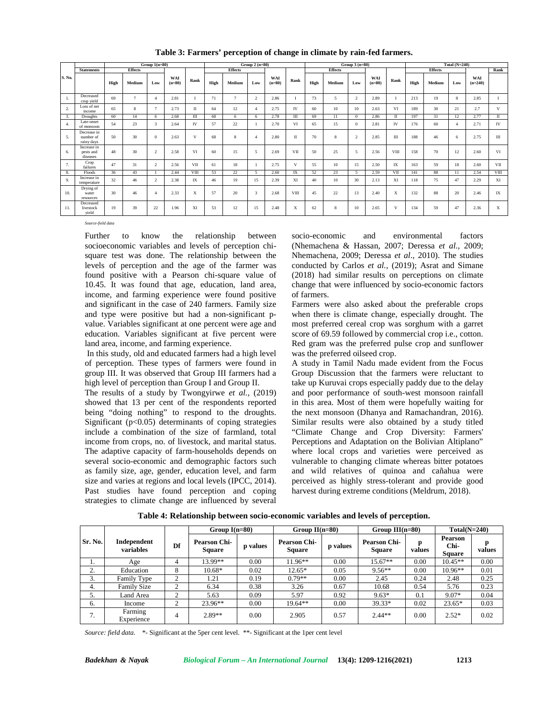|        |                                        | Group $1(n=80)$<br>Group $2(n=80)$ |                |                         |                 | Group $3(n=80)$ |      |                |                        | Total $(N=240)$ |              |      |                |                          |                 |      |      |                |                |                  |              |
|--------|----------------------------------------|------------------------------------|----------------|-------------------------|-----------------|-----------------|------|----------------|------------------------|-----------------|--------------|------|----------------|--------------------------|-----------------|------|------|----------------|----------------|------------------|--------------|
|        | <b>Statements</b>                      |                                    | <b>Effects</b> |                         |                 |                 |      | <b>Effects</b> |                        |                 |              |      | <b>Effects</b> |                          |                 |      |      | <b>Effects</b> |                |                  | Rank         |
| S. No. |                                        | High                               | Medium         | Low                     | WAI<br>$(n=80)$ | Rank            | High | Medium         | Low                    | WAI<br>$(n=80)$ | Rank         | High | Medium         | Low                      | WAI<br>$(n=80)$ | Rank | High | Medium         | Low            | WAI<br>$(n=240)$ |              |
| 1.     | Decreased<br>crop yield                | 69                                 | $\tau$         | $\overline{4}$          | 2.81            |                 | 71   | $\tau$         | $\mathcal{L}$          | 2.86            |              | 73   | 5              | $\overline{2}$           | 2.89            |      | 213  | 19             | 8              | 2.85             |              |
| 2.     | Loss of net<br>income                  | 65                                 | 8              | $\overline{7}$          | 2.73            | П               | 64   | 12             | $\overline{4}$         | 2.75            | IV           | 60   | 10             | 10                       | 2.63            | VI   | 189  | 30             | 21             | 2.7              | V            |
| 3.     | <b>Droughts</b>                        | 60                                 | 14             | 6                       | 2.68            | Ш               | 68   | 6              | 6                      | 2.78            | Ш            | 69   | 11             | $^{\circ}$               | 2.86            | П    | 197  | 31             | 12             | 2.77             | $\mathbf{I}$ |
| 4.     | Late-onset<br>of monsoon               | 54                                 | 23             | $\overline{\mathbf{3}}$ | 2.64            | IV              | 57   | 22             |                        | 2.70            | VI           | 65   | 15             | $\Omega$                 | 2.81            | IV   | 176  | 60             | $\overline{4}$ | 2.71             | IV           |
| 5.     | Decrease in<br>number of<br>rainv days | 50                                 | 30             | $\Omega$                | 2.63            | V               | 68   | 8              | $\boldsymbol{\Lambda}$ | 2.80            | $\mathbf{I}$ | 70   | 8              | $\overline{2}$           | 2.85            | Ш    | 188  | 46             | 6              | 2.75             | Ш            |
| 6.     | Increase in<br>pests and<br>diseases   | 48                                 | 30             | $\overline{2}$          | 2.58            | VI              | 60   | 15             | $\overline{5}$         | 2.69            | VII          | 50   | 25             | $\overline{\phantom{0}}$ | 2.56            | VIII | 158  | 70             | 12             | 2.60             | VI           |
| 7.     | Crop<br>failures                       | 47                                 | 31             | $\overline{2}$          | 2.56            | VII             | 61   | 18             |                        | 2.75            | V            | 55   | 10             | 15                       | 2.50            | IX   | 163  | 59             | 18             | 2.60             | VII          |
| 8.     | Floods                                 | 36                                 | 43             |                         | 2.44            | VIII            | 53   | 22             | $\sim$                 | 2.60            | IX           | 52   | 23             | $\sim$                   | 2.59            | VII  | 141  | 88             | 11             | 2.54             | VIII         |
| 9.     | Increase in<br>temperature             | 32                                 | 46             | $\overline{2}$          | 2.38            | IX              | 46   | 19             | 15                     | 2.39            | XI           | 40   | 10             | 30                       | 2.13            | XI   | 118  | 75             | 47             | 2.29             | XI           |
| 10.    | Drying of<br>water<br>resources        | 30                                 | 46             | $\overline{4}$          | 2.33            | X               | 57   | 20             | $\mathbf{3}$           | 2.68            | VIII         | 45   | 22             | 13                       | 2.40            | X    | 132  | 88             | 20             | 2.46             | IX           |
| 11.    | Decreased<br>livestock<br>vield        | 19                                 | 39             | 22                      | 1.96            | XI              | 53   | 12             | 15                     | 2.48            | X            | 62   | 8              | 10                       | 2.65            | V    | 134  | 59             | 47             | 2.36             | X            |

**Table 3: Farmers' perception of change in climate by rain-fed farmers.**

*Source-field data*

Further to know the relationship between socioeconomic variables and levels of perception chi square test was done. The relationship between the levels of perception and the age of the farmer was found positive with a Pearson chi-square value of 10.45. It was found that age, education, land area, income, and farming experience were found positive and significant in the case of 240 farmers. Family size and type were positive but had a non-significant p value. Variables significant at one percent were age and education. Variables significant at five percent were land area, income, and farming experience.

In this study, old and educated farmers had a high level of perception. These types of farmers were found in group III. It was observed that Group III farmers had a high level of perception than Group I and Group II.

The results of a study by Twongyirwe *et al.,* (2019) showed that 13 per cent of the respondents reported being "doing nothing" to respond to the droughts. Significant  $(p<0.05)$  determinants of coping strategies include a combination of the size of farmland, total income from crops, no. of livestock, and marital status. The adaptive capacity of farm-households depends on several socio-economic and demographic factors such as family size, age, gender, education level, and farm size and varies at regions and local levels (IPCC, 2014). Past studies have found perception and coping strategies to climate change are influenced by several

socio-economic and environmental factors (Nhemachena & Hassan, 2007; Deressa *et al.,* 2009; Nhemachena, 2009; Deressa *et al*., 2010). The studies conducted by Carlos *et al.,* (2019); Asrat and Simane (2018) had similar results on perceptions on climate change that were influenced by socio-economic factors of farmers.

Farmers were also asked about the preferable crops when there is climate change, especially drought. The most preferred cereal crop was sorghum with a garret score of 69.59 followed by commercial crop i.e., cotton. Red gram was the preferred pulse crop and sunflower was the preferred oilseed crop.

A study in Tamil Nadu made evident from the Focus Group Discussion that the farmers were reluctant to take up Kuruvai crops especially paddy due to the delay and poor performance of south-west monsoon rainfall in this area. Most of them were hopefully waiting for the next monsoon (Dhanya and Ramachandran, 2016). Similar results were also obtained by a study titled "Climate Change and Crop Diversity: Farmers' Perceptions and Adaptation on the Bolivian Altiplano" where local crops and varieties were perceived as vulnerable to changing climate whereas bitter potatoes and wild relatives of quinoa and cañahua were perceived as highly stress-tolerant and provide good harvest during extreme conditions (Meldrum, 2018).

|         |                          |                    | Group $I(n=80)$                      |          | Group $II(n=80)$                     |          | Group $III(n=80)$                    |        | $Total(N=240)$                          |        |
|---------|--------------------------|--------------------|--------------------------------------|----------|--------------------------------------|----------|--------------------------------------|--------|-----------------------------------------|--------|
| Sr. No. | Independent<br>variables | Df                 | <b>Pearson Chi-</b><br><b>Square</b> | p values | <b>Pearson Chi-</b><br><b>Square</b> | p values | <b>Pearson Chi-</b><br><b>Square</b> | values | <b>Pearson</b><br>Chi-<br><b>Square</b> | values |
| 1.      | Age                      | 4                  | 13.99**                              | 0.00     | $11.96**$                            | 0.00     | $15.67**$                            | 0.00   | $10.45**$                               | 0.00   |
| ۷.      | Education                | 8                  | $10.68*$                             | 0.02     | 12.65*                               | 0.05     | $9.56**$                             | 0.00   | $10.96**$                               | 0.01   |
| 3.      | Family Type              | $\mathcal{L}$      | 1.21                                 | 0.19     | $0.79**$                             | 0.00     | 2.45                                 | 0.24   | 2.48                                    | 0.25   |
| 4.      | <b>Family Size</b>       | $\mathcal{L}$<br>∠ | 6.34                                 | 0.38     | 3.26                                 | 0.67     | 10.68                                | 0.54   | 5.76                                    | 0.23   |
|         | Land Area                | ↑                  | 5.63                                 | 0.09     | 5.97                                 | 0.92     | $9.63*$                              | 0.1    | 9.07*                                   | 0.04   |
| 6.      | Income                   | $\mathcal{L}$<br>∠ | 23.96**                              | 0.00     | $19.64**$                            | 0.00     | 39.33*                               | 0.02   | $23.65*$                                | 0.03   |
| 7.      | Farming<br>Experience    | 4                  | $2.89**$                             | 0.00     | 2.905                                | 0.57     | $2.44**$                             | 0.00   | $2.52*$                                 | 0.02   |

**Table 4: Relationship between socio-economic variables and levels of perception.**

*Source: field data*. \*- Significant at the 5per cent level. \*\*- Significant at the 1per cent level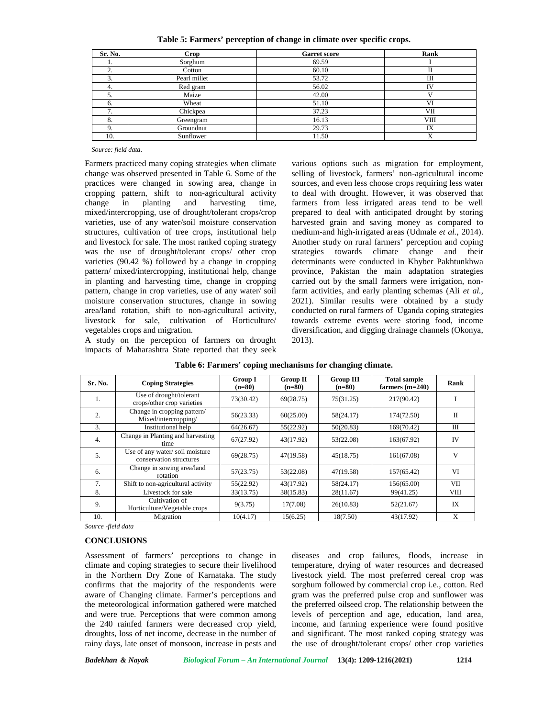**Table 5: Farmers' perception of change in climate over specific crops.**

| Sr. No.              | Crop         | <b>Garret score</b> | Rank        |
|----------------------|--------------|---------------------|-------------|
| 1.                   | Sorghum      | 69.59               |             |
| z.                   | Cotton       | 60.10               | П           |
| 3.                   | Pearl millet | 53.72               | Ш           |
| 4.                   | Red gram     | 56.02               | <b>IV</b>   |
| 5.                   | Maize        | 42.00               |             |
| 6.                   | Wheat        | 51.10               | VI          |
| 7<br>$\mathcal{L}$ . | Chickpea     | 37.23               | VІІ         |
| 8.                   | Greengram    | 16.13               | <b>VIII</b> |
| 9.                   | Groundnut    | 29.73               | IX          |
| 10.                  | Sunflower    | 11.50               | Х           |

*Source: field data*.

Farmers practiced many coping strategies when climate change was observed presented in Table 6. Some of the practices were changed in sowing area, change in cropping pattern, shift to non-agricultural activity change in planting and harvesting time, mixed/intercropping, use of drought/tolerant crops/crop varieties, use of any water/soil moisture conservation structures, cultivation of tree crops, institutional help and livestock for sale. The most ranked coping strategy was the use of drought/tolerant crops/ other crop varieties (90.42 %) followed by a change in cropping pattern/ mixed/intercropping, institutional help, change in planting and harvesting time, change in cropping pattern, change in crop varieties, use of any water/ soil moisture conservation structures, change in sowing area/land rotation, shift to non-agricultural activity, livestock for sale, cultivation of Horticulture/ vegetables crops and migration.

A study on the perception of farmers on drought impacts of Maharashtra State reported that they seek

various options such as migration for employment, selling of livestock, farmers' non-agricultural income sources, and even less choose crops requiring less water to deal with drought. However, it was observed that farmers from less irrigated areas tend to be well prepared to deal with anticipated drought by storing harvested grain and saving money as compared to medium-and high-irrigated areas (Udmale *et al.*, 2014). Another study on rural farmers' perception and coping strategies towards climate change and their determinants were conducted in Khyber Pakhtunkhwa province, Pakistan the main adaptation strategies carried out by the small farmers were irrigation, nonfarm activities, and early planting schemas (Ali *et al.,* 2021). Similar results were obtained by a study conducted on rural farmers of Uganda coping strategies towards extreme events were storing food, income diversification, and digging drainage channels (Okonya, 2013).

| Sr. No. | <b>Coping Strategies</b>                                  | <b>Group I</b><br>$(n=80)$ | <b>Group II</b><br>$(n=80)$ | <b>Group III</b><br>$(n=80)$ | <b>Total sample</b><br>farmers $(m=240)$ | Rank        |
|---------|-----------------------------------------------------------|----------------------------|-----------------------------|------------------------------|------------------------------------------|-------------|
| 1.      | Use of drought/tolerant<br>crops/other crop varieties     | 73(30.42)                  | 69(28.75)                   | 75(31.25)                    | 217(90.42)                               |             |
| 2.      | Change in cropping pattern/<br>Mixed/intercropping/       | 56(23.33)                  | 60(25.00)                   | 58(24.17)                    | 174(72.50)                               | $_{\rm II}$ |
| 3.      | Institutional help                                        | 64(26.67)                  | 55(22.92)                   | 50(20.83)                    | 169(70.42)                               | Ш           |
| 4.      | Change in Planting and harvesting<br>time                 | 67(27.92)                  | 43(17.92)                   | 53(22.08)                    | 163(67.92)                               | IV          |
| 5.      | Use of any water/soil moisture<br>conservation structures | 69(28.75)                  | 47(19.58)                   | 45(18.75)                    | 161(67.08)                               | V           |
| 6.      | Change in sowing area/land<br>rotation                    | 57(23.75)                  | 53(22.08)                   | 47(19.58)                    | 157(65.42)                               | VI          |
| 7.      | Shift to non-agricultural activity                        | 55(22.92)                  | 43(17.92)                   | 58(24.17)                    | 156(65.00)                               | VII         |
| 8.      | Livestock for sale                                        | 33(13.75)                  | 38(15.83)                   | 28(11.67)                    | 99(41.25)                                | VШ          |
| 9.      | Cultivation of<br>Horticulture/Vegetable crops            | 9(3.75)                    | 17(7.08)                    | 26(10.83)                    | 52(21.67)                                | IX          |
| 10.     | Migration                                                 | 10(4.17)                   | 15(6.25)                    | 18(7.50)                     | 43(17.92)                                | X           |

| Table 6: Farmers' coping mechanisms for changing climate. |  |  |  |  |  |
|-----------------------------------------------------------|--|--|--|--|--|
|-----------------------------------------------------------|--|--|--|--|--|

*Source -field data*

## **CONCLUSIONS**

Assessment of farmers' perceptions to change in climate and coping strategies to secure their livelihood in the Northern Dry Zone of Karnataka. The study confirms that the majority of the respondents were aware of Changing climate. Farmer's perceptions and the meteorological information gathered were matched and were true. Perceptions that were common among the 240 rainfed farmers were decreased crop yield, droughts, loss of net income, decrease in the number of rainy days, late onset of monsoon, increase in pests and

diseases and crop failures, floods, increase in temperature, drying of water resources and decreased livestock yield. The most preferred cereal crop was sorghum followed by commercial crop i.e., cotton. Red gram was the preferred pulse crop and sunflower was the preferred oilseed crop. The relationship between the levels of perception and age, education, land area, income, and farming experience were found positive and significant. The most ranked coping strategy was the use of drought/tolerant crops/ other crop varieties

| Badekhan & Nayak |  |
|------------------|--|
|------------------|--|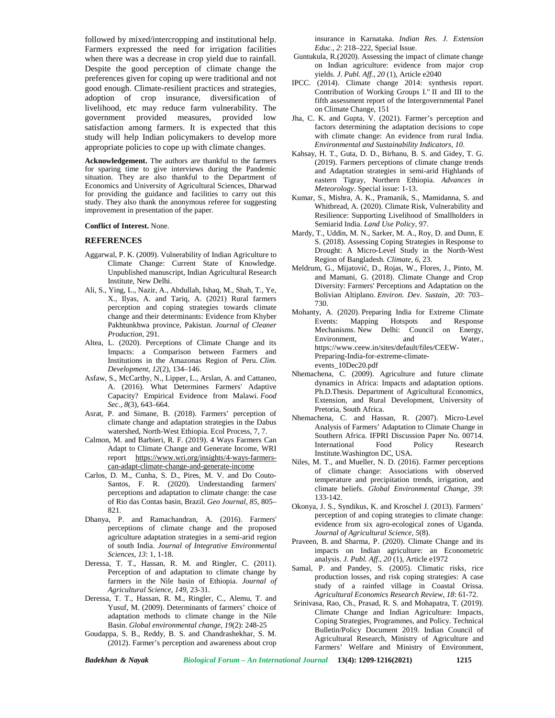followed by mixed/intercropping and institutional help. Farmers expressed the need for irrigation facilities when there was a decrease in crop yield due to rainfall. Despite the good perception of climate change the preferences given for coping up were traditional and not good enough. Climate-resilient practices and strategies, adoption of crop insurance, diversification of livelihood, etc may reduce farm vulnerability. The government provided measures, provided low satisfaction among farmers. It is expected that this study will help Indian policymakers to develop more appropriate policies to cope up with climate changes.

**Acknowledgement.** The authors are thankful to the farmers for sparing time to give interviews during the Pandemic situation. They are also thankful to the Department of Economics and University of Agricultural Sciences, Dharwad for providing the guidance and facilities to carry out this study. They also thank the anonymous referee for suggesting improvement in presentation of the paper.

#### **Conflict of Interest.** None.

### **REFERENCES**

- Aggarwal, P. K. (2009). Vulnerability of Indian Agriculture to Climate Change: Current State of Knowledge. Unpublished manuscript, Indian Agricultural Research Institute, New Delhi.
- Ali, S., Ying, L., Nazir, A., Abdullah, Ishaq, M., Shah, T., Ye, X., Ilyas, A. and Tariq, A. (2021) Rural farmers perception and coping strategies towards climate change and their determinants: Evidence from Khyber Pakhtunkhwa province, Pakistan. *Journal of Cleaner Production,* 291.
- Altea, L. (2020). Perceptions of Climate Change and its Impacts: a Comparison between Farmers and Institutions in the Amazonas Region of Peru. *Clim. Development, 12*(2), 134–146.
- Asfaw, S., McCarthy, N., Lipper, L., Arslan, A. and Cattaneo, A. (2016). What Determines Farmers' Adaptive Capacity? Empirical Evidence from Malawi. *Food Sec., 8*(3), 643–664.
- Asrat, P. and Simane, B. (2018). Farmers' perception of climate change and adaptation strategies in the Dabus watershed, North-West Ethiopia. Ecol Process, 7, 7.
- Calmon, M. and Barbieri, R. F. (2019). 4 Ways Farmers Can Adapt to Climate Change and Generate Income, WRI report https:/[/www.wri.org/insights/4-ways-farmers](www.wri.org/insights/4-ways-farmers-) can-adapt-climate-change-and-generate-income
- Carlos, D. M., Cunha, S. D., Pires, M. V. and Do Couto- Santos, F. R. (2020). Understanding farmers' perceptions and adaptation to climate change: the case of Rio das Contas basin, Brazil. *Geo Journal, 85*, 805– 821.
- Dhanya, P. and Ramachandran, A. (2016). Farmers' perceptions of climate change and the proposed agriculture adaptation strategies in a semi-arid region of south India. *Journal of Integrative Environmental Sciences*, *13*: 1, 1-18.
- Deressa, T. T., Hassan, R. M. and Ringler, C. (2011). Perception of and adaptation to climate change by farmers in the Nile basin of Ethiopia. *Journal of Agricultural Science, 149*, 23-31.
- Deressa, T. T., Hassan, R. M., Ringler, C., Alemu, T. and Yusuf, M. (2009). Determinants of farmers' choice of adaptation methods to climate change in the Nile Basin. *Global environmental change*, *19*(2): 248-25
- Goudappa, S. B., Reddy, B. S. and Chandrashekhar, S. M. (2012). Farmer's perception and awareness about crop

insurance in Karnataka. *Indian Res. J. Extension Educ.*, *2*: 218–222, Special Issue.

- Guntukula, R.(2020). Assessing the impact of climate change on Indian agriculture: evidence from major crop yields*. J. Publ. Aff.*, *20* (1), Article e2040
- IPCC. (2014). Climate change 2014: synthesis report. Contribution of Working Groups I." II and III to the fifth assessment report of the Intergovernmental Panel on Climate Change, 151
- Jha, C. K. and Gupta, V. (2021). Farmer's perception and factors determining the adaptation decisions to cope with climate change: An evidence from rural India. *Environmental and Sustainability Indicators, 10*.
- Kahsay, H. T., Guta, D. D., Birhanu, B. S. and Gidey, T. G. (2019). Farmers perceptions of climate change trends and Adaptation strategies in semi-arid Highlands of eastern Tigray, Northern Ethiopia. *Advances in Meteorology*. Special issue: 1-13.
- Kumar, S., Mishra, A. K., Pramanik, S., Mamidanna, S. and Whitbread, A. (2020). Climate Risk, Vulnerability and Resilience: Supporting Livelihood of Smallholders in Semiarid India. *Land Use Policy,* 97.
- Mardy, T., Uddin, M. N., Sarker, M. A., Roy, D. and Dunn, E S. (2018). Assessing Coping Strategies in Response to Drought: A Micro-Level Study in the North-West Region of Bangladesh. *Climate, 6*, 23.
- Meldrum, G., Mijatovi, D., Rojas, W., Flores, J., Pinto, M. and Mamani, G. (2018). Climate Change and Crop Diversity: Farmers' Perceptions and Adaptation on the Bolivian Altiplano. *Environ. Dev. Sustain, 20*: 703– 730.
- Mohanty, A. (2020). Preparing India for Extreme Climate Events: Mapping Hotspots and Response Mechanisms. New Delhi: Council on Energy, Environment, and Water., https://<www.ceew.in/sites/default/files/CEEW-> Preparing-India-for-extreme-climate events\_10Dec20.pdf
- Nhemachena, C. (2009). Agriculture and future climate dynamics in Africa: Impacts and adaptation options. Ph.D.Thesis. Department of Agricultural Economics, Extension, and Rural Development, University of Pretoria, South Africa.
- Nhemachena, C. and Hassan, R. (2007). Micro-Level Analysis of Farmers' Adaptation to Climate Change in Southern Africa. IFPRI Discussion Paper No. 00714. International Food Policy Research Institute.Washington DC, USA.
- Niles, M. T., and Mueller, N. D. (2016). Farmer perceptions of climate change: Associations with observed temperature and precipitation trends, irrigation, and climate beliefs. *Global Environmental Change*, *39*: 133-142.
- Okonya, J. S., Syndikus, K. and Kroschel J. (2013). Farmers' perception of and coping strategies to climate change: evidence from six agro-ecological zones of Uganda. *Journal of Agricultural Science, 5*(8).
- Praveen, B. and Sharma, P. (2020). Climate Change and its impacts on Indian agriculture: an Econometric analysis. *J. Publ. Aff*., *20* (1), Article e1972
- Samal, P. and Pandey, S. (2005). Climatic risks, rice production losses, and risk coping strategies: A case study of a rainfed village in Coastal Orissa. *Agricultural Economics Research Review*, *18*: 61-72.
- Srinivasa, Rao, Ch., Prasad, R. S. and Mohapatra, T. (2019). Climate Change and Indian Agriculture: Impacts, Coping Strategies, Programmes, and Policy. Technical Bulletin/Policy Document 2019. Indian Council of Agricultural Research, Ministry of Agriculture and Farmers' Welfare and Ministry of Environment,

*Badekhan & Nayak Biological Forum – An International Journal* **13(4): 1209-1216(2021) 1215**